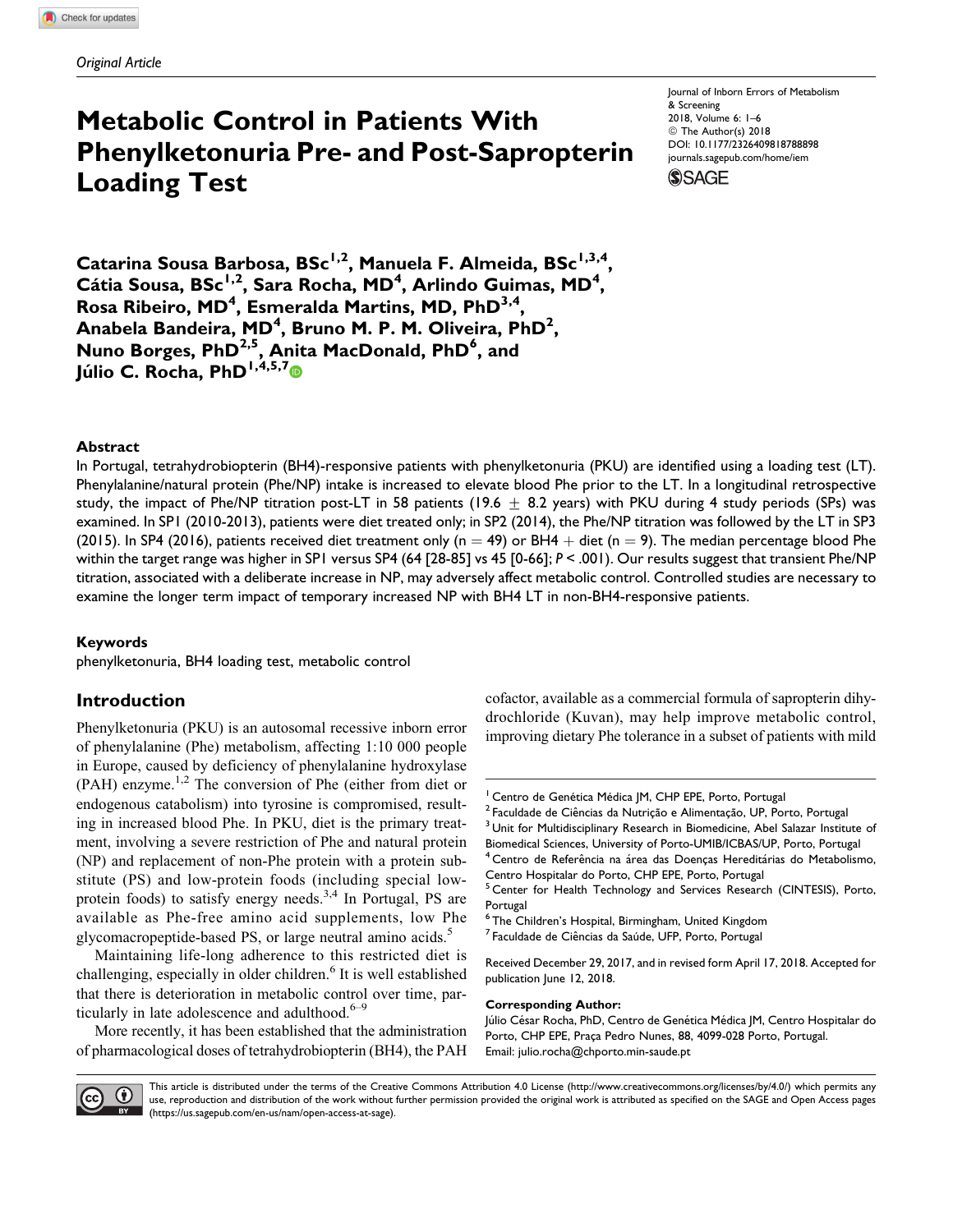# Metabolic Control in Patients With Phenylketonuria Pre- and Post-Sapropterin Loading Test

Journal of Inborn Errors of Metabolism & Screening 2018, Volume 6: 1–6 © The Author(s) 2018 [DOI: 10.1177/2326409818788898](https://doi.org/10.1177/2326409818788898) [journals.sagepub.com/home/iem](http://journals.sagepub.com/home/iem)



Catarina Sousa Barbosa, BSc<sup>1,2</sup>, Manuela F. Almeida, BSc<sup>1,3,4</sup>, Cátia Sousa, BSc<sup>1,2</sup>, Sara Rocha, MD<sup>4</sup>, Arlindo Guimas, MD<sup>4</sup>, Rosa Ribeiro, MD<sup>4</sup>, Esmeralda Martins, MD, PhD $^{3,4}$ , Anabela Bandeira, MD<sup>4</sup>, Bruno M. P. M. Oliveira, PhD<sup>2</sup>, Nuno Borges, PhD<sup>2,5</sup>, Anita MacDonald, PhD<sup>6</sup>, and Júlio C. Rocha, PhD<sup>1,4,5,7</sup>

### **Abstract**

In Portugal, tetrahydrobiopterin (BH4)-responsive patients with phenylketonuria (PKU) are identified using a loading test (LT). Phenylalanine/natural protein (Phe/NP) intake is increased to elevate blood Phe prior to the LT. In a longitudinal retrospective study, the impact of Phe/NP titration post-LT in 58 patients (19.6  $\pm$  8.2 years) with PKU during 4 study periods (SPs) was examined. In SP1 (2010-2013), patients were diet treated only; in SP2 (2014), the Phe/NP titration was followed by the LT in SP3 (2015). In SP4 (2016), patients received diet treatment only (n = 49) or BH4 + diet (n = 9). The median percentage blood Phe within the target range was higher in SP1 versus SP4 (64 [28-85] vs 45 [0-66]; P < .001). Our results suggest that transient Phe/NP titration, associated with a deliberate increase in NP, may adversely affect metabolic control. Controlled studies are necessary to examine the longer term impact of temporary increased NP with BH4 LT in non-BH4-responsive patients.

#### Keywords

phenylketonuria, BH4 loading test, metabolic control

## Introduction

Phenylketonuria (PKU) is an autosomal recessive inborn error of phenylalanine (Phe) metabolism, affecting 1:10 000 people in Europe, caused by deficiency of phenylalanine hydroxylase  $(PAH)$  enzyme.<sup>1,2</sup> The conversion of Phe (either from diet or endogenous catabolism) into tyrosine is compromised, resulting in increased blood Phe. In PKU, diet is the primary treatment, involving a severe restriction of Phe and natural protein (NP) and replacement of non-Phe protein with a protein substitute (PS) and low-protein foods (including special lowprotein foods) to satisfy energy needs.<sup>3,4</sup> In Portugal, PS are available as Phe-free amino acid supplements, low Phe glycomacropeptide-based PS, or large neutral amino acids.<sup>5</sup>

Maintaining life-long adherence to this restricted diet is challenging, especially in older children.<sup>6</sup> It is well established that there is deterioration in metabolic control over time, particularly in late adolescence and adulthood. $6-9$ 

More recently, it has been established that the administration of pharmacological doses of tetrahydrobiopterin (BH4), the PAH cofactor, available as a commercial formula of sapropterin dihydrochloride (Kuvan), may help improve metabolic control, improving dietary Phe tolerance in a subset of patients with mild

#### Corresponding Author:

Júlio César Rocha, PhD, Centro de Genética Médica JM, Centro Hospitalar do Porto, CHP EPE, Praça Pedro Nunes, 88, 4099-028 Porto, Portugal. Email: [julio.rocha@chporto.min-saude.pt](mailto:julio.rocha@chporto.min-saude.pt)



This article is distributed under the terms of the Creative Commons Attribution 4.0 License (<http://www.creativecommons.org/licenses/by/4.0/>) which permits any use, reproduction and distribution of the work without further permission provided the original work is attributed as specified on the SAGE and Open Access pages [\(https://us.sagepub.com/en-us/nam/open-access-at-sage\)](https://us.sagepub.com/en-us/nam/open-access-at-sage).

<sup>&</sup>lt;sup>1</sup> Centro de Genética Médica JM, CHP EPE, Porto, Portugal<br><sup>2</sup> Faculdade de Ciências da Nutrição e Alimentação, UP, Porto, Portugal<br><sup>3</sup> Unit for Multidisciplinary Research in Biomedicine, Abel Salazar Institute of Biomedical Sciences, University of Porto-UMIB/ICBAS/UP, Porto, Portugal

<sup>&</sup>lt;sup>4</sup> Centro de Referência na área das Doenças Hereditárias do Metabolismo, Centro Hospitalar do Porto, CHP EPE, Porto, Portugal

<sup>&</sup>lt;sup>5</sup> Center for Health Technology and Services Research (CINTESIS), Porto, Portugal

<sup>6</sup> The Children's Hospital, Birmingham, United Kingdom

<sup>&</sup>lt;sup>7</sup> Faculdade de Ciências da Saúde, UFP, Porto, Portugal

Received December 29, 2017, and in revised form April 17, 2018. Accepted for publication June 12, 2018.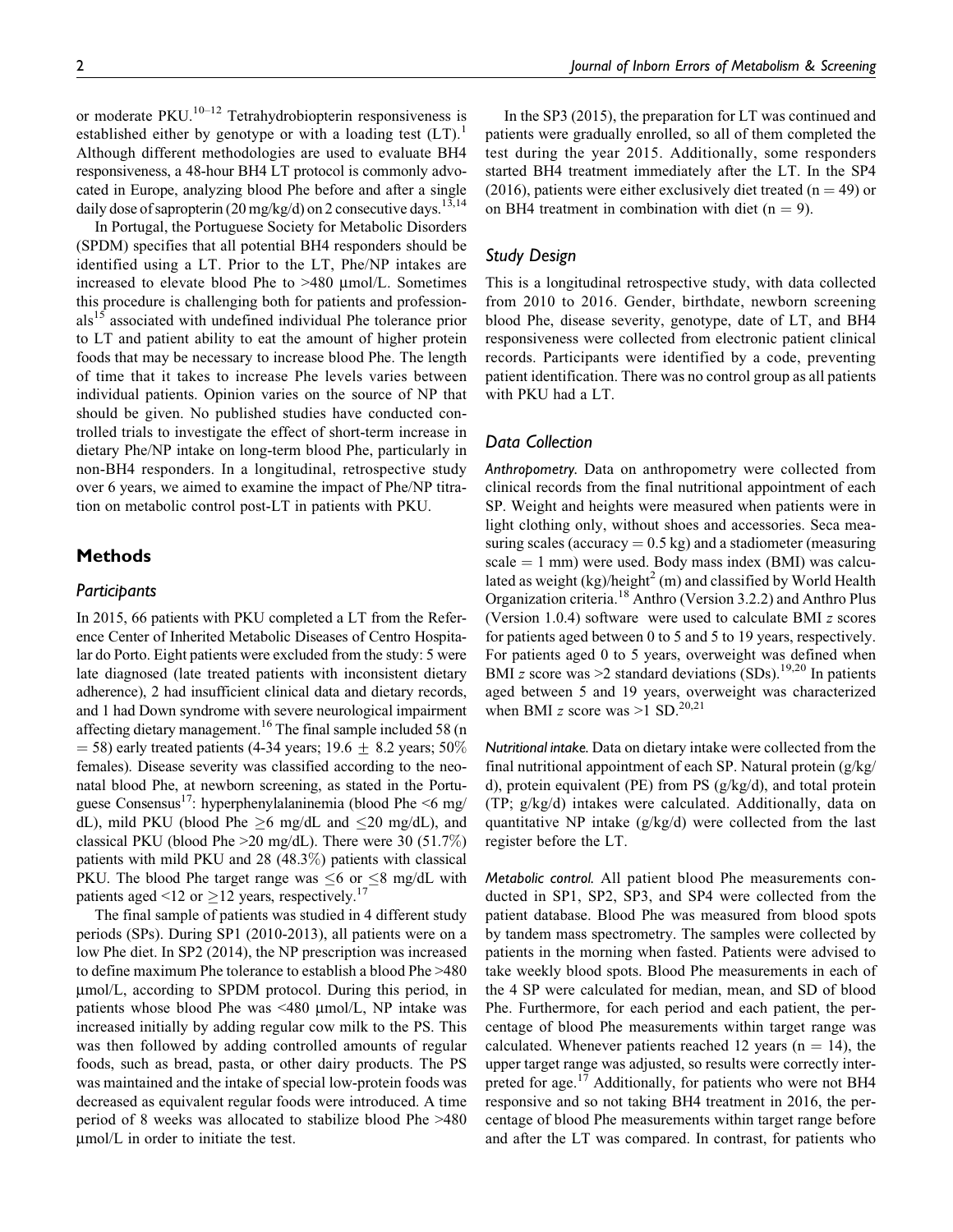or moderate  $PKU$ .<sup>10–12</sup> Tetrahydrobiopterin responsiveness is established either by genotype or with a loading test  $(LT)$ .<sup>1</sup> Although different methodologies are used to evaluate BH4 responsiveness, a 48-hour BH4 LT protocol is commonly advocated in Europe, analyzing blood Phe before and after a single daily dose of sapropterin (20 mg/kg/d) on 2 consecutive days.<sup>13,14</sup>

In Portugal, the Portuguese Society for Metabolic Disorders (SPDM) specifies that all potential BH4 responders should be identified using a LT. Prior to the LT, Phe/NP intakes are increased to elevate blood Phe to >480 μmol/L. Sometimes this procedure is challenging both for patients and professionals<sup>15</sup> associated with undefined individual Phe tolerance prior to LT and patient ability to eat the amount of higher protein foods that may be necessary to increase blood Phe. The length of time that it takes to increase Phe levels varies between individual patients. Opinion varies on the source of NP that should be given. No published studies have conducted controlled trials to investigate the effect of short-term increase in dietary Phe/NP intake on long-term blood Phe, particularly in non-BH4 responders. In a longitudinal, retrospective study over 6 years, we aimed to examine the impact of Phe/NP titration on metabolic control post-LT in patients with PKU.

## Methods

#### **Participants**

In 2015, 66 patients with PKU completed a LT from the Reference Center of Inherited Metabolic Diseases of Centro Hospitalar do Porto. Eight patients were excluded from the study: 5 were late diagnosed (late treated patients with inconsistent dietary adherence), 2 had insufficient clinical data and dietary records, and 1 had Down syndrome with severe neurological impairment affecting dietary management.<sup>16</sup> The final sample included 58 (n  $=$  58) early treated patients (4-34 years; 19.6  $\pm$  8.2 years; 50% females). Disease severity was classified according to the neonatal blood Phe, at newborn screening, as stated in the Portuguese Consensus<sup>17</sup>: hyperphenylalaninemia (blood Phe  $\leq 6$  mg/ dL), mild PKU (blood Phe  $\geq 6$  mg/dL and  $\leq 20$  mg/dL), and classical PKU (blood Phe  $>20$  mg/dL). There were 30 (51.7%) patients with mild PKU and 28 (48.3%) patients with classical PKU. The blood Phe target range was  $\leq 6$  or  $\leq 8$  mg/dL with patients aged <12 or  $\geq$  12 years, respectively.<sup>17</sup>

The final sample of patients was studied in 4 different study periods (SPs). During SP1 (2010-2013), all patients were on a low Phe diet. In SP2 (2014), the NP prescription was increased to define maximum Phe tolerance to establish a blood Phe >480 μmol/L, according to SPDM protocol. During this period, in patients whose blood Phe was <480 μmol/L, NP intake was increased initially by adding regular cow milk to the PS. This was then followed by adding controlled amounts of regular foods, such as bread, pasta, or other dairy products. The PS was maintained and the intake of special low-protein foods was decreased as equivalent regular foods were introduced. A time period of 8 weeks was allocated to stabilize blood Phe >480 μmol/L in order to initiate the test.

In the SP3 (2015), the preparation for LT was continued and patients were gradually enrolled, so all of them completed the test during the year 2015. Additionally, some responders started BH4 treatment immediately after the LT. In the SP4 (2016), patients were either exclusively diet treated ( $n = 49$ ) or on BH4 treatment in combination with diet  $(n = 9)$ .

## Study Design

This is a longitudinal retrospective study, with data collected from 2010 to 2016. Gender, birthdate, newborn screening blood Phe, disease severity, genotype, date of LT, and BH4 responsiveness were collected from electronic patient clinical records. Participants were identified by a code, preventing patient identification. There was no control group as all patients with PKU had a LT.

#### Data Collection

Anthropometry. Data on anthropometry were collected from clinical records from the final nutritional appointment of each SP. Weight and heights were measured when patients were in light clothing only, without shoes and accessories. Seca measuring scales (accuracy  $= 0.5$  kg) and a stadiometer (measuring  $scale = 1$  mm) were used. Body mass index (BMI) was calculated as weight  $(kg)/\hbar$ eight $^2$  (m) and classified by World Health Organization criteria.<sup>18</sup> Anthro (Version 3.2.2) and Anthro Plus (Version 1.0.4) software were used to calculate BMI z scores for patients aged between 0 to 5 and 5 to 19 years, respectively. For patients aged 0 to 5 years, overweight was defined when BMI z score was  $\geq$ 2 standard deviations (SDs).<sup>19,20</sup> In patients aged between 5 and 19 years, overweight was characterized when BMI z score was  $>1$  SD.<sup>20,21</sup>

Nutritional intake. Data on dietary intake were collected from the final nutritional appointment of each SP. Natural protein (g/kg/ d), protein equivalent (PE) from PS (g/kg/d), and total protein (TP; g/kg/d) intakes were calculated. Additionally, data on quantitative NP intake (g/kg/d) were collected from the last register before the LT.

Metabolic control. All patient blood Phe measurements conducted in SP1, SP2, SP3, and SP4 were collected from the patient database. Blood Phe was measured from blood spots by tandem mass spectrometry. The samples were collected by patients in the morning when fasted. Patients were advised to take weekly blood spots. Blood Phe measurements in each of the 4 SP were calculated for median, mean, and SD of blood Phe. Furthermore, for each period and each patient, the percentage of blood Phe measurements within target range was calculated. Whenever patients reached 12 years ( $n = 14$ ), the upper target range was adjusted, so results were correctly interpreted for age.<sup>17</sup> Additionally, for patients who were not BH4 responsive and so not taking BH4 treatment in 2016, the percentage of blood Phe measurements within target range before and after the LT was compared. In contrast, for patients who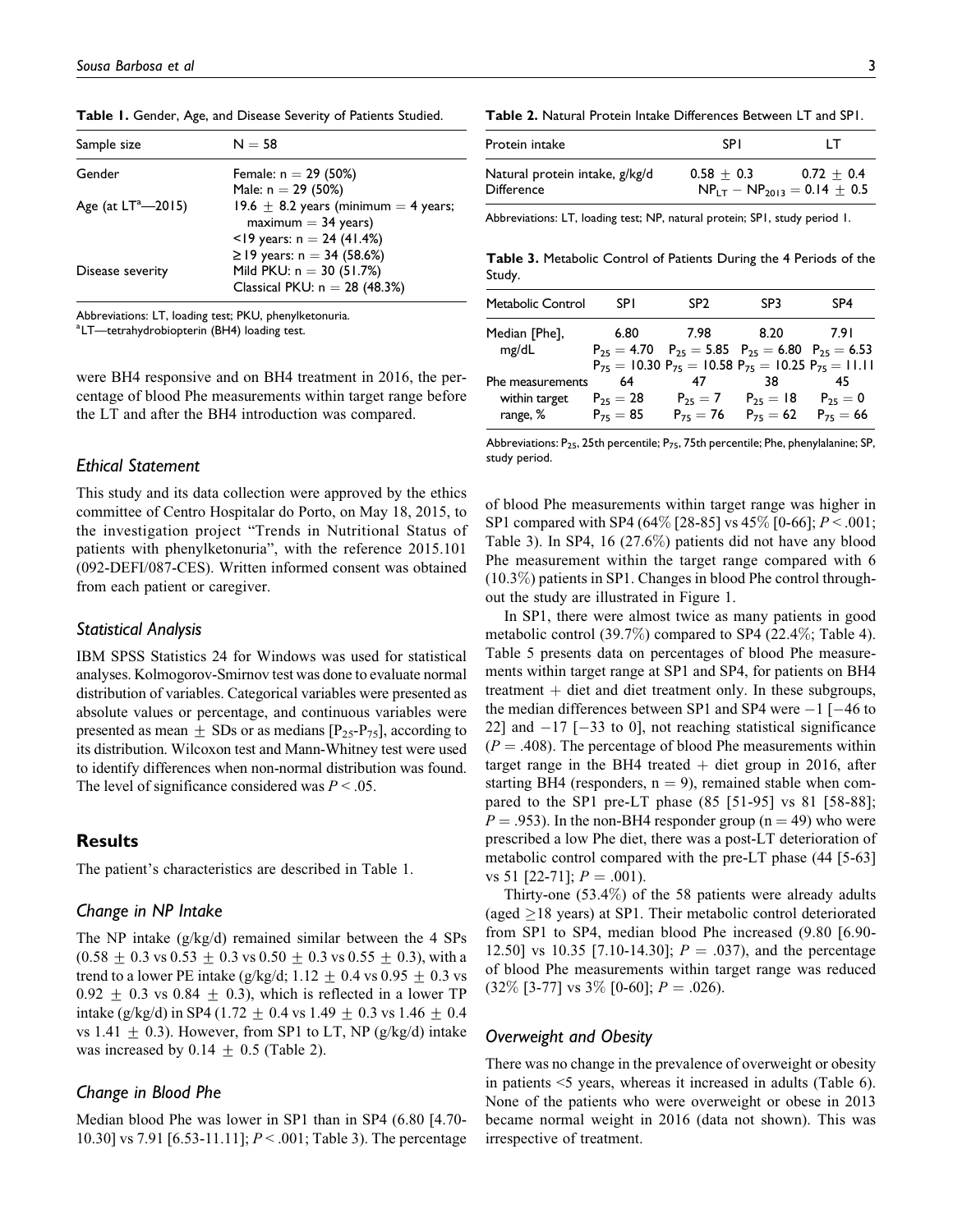| Sample size           | $N = 58$                                 |
|-----------------------|------------------------------------------|
| Gender                | Female: $n = 29$ (50%)                   |
|                       | Male: $n = 29$ (50%)                     |
| Age (at $LT^2$ —2015) | 19.6 $\pm$ 8.2 years (minimum = 4 years; |
|                       | $maximum = 34 years$                     |
|                       | <19 years: $n = 24$ (41.4%)              |
|                       | ≥ 19 years: $n = 34$ (58.6%)             |
| Disease severity      | Mild PKU: $n = 30$ (51.7%)               |
|                       | Classical PKU: $n = 28$ (48.3%)          |

Table 1. Gender, Age, and Disease Severity of Patients Studied.

Abbreviations: LT, loading test; PKU, phenylketonuria.

a LT—tetrahydrobiopterin (BH4) loading test.

were BH4 responsive and on BH4 treatment in 2016, the percentage of blood Phe measurements within target range before the LT and after the BH4 introduction was compared.

#### Ethical Statement

This study and its data collection were approved by the ethics committee of Centro Hospitalar do Porto, on May 18, 2015, to the investigation project "Trends in Nutritional Status of patients with phenylketonuria", with the reference 2015.101 (092-DEFI/087-CES). Written informed consent was obtained from each patient or caregiver.

#### Statistical Analysis

IBM SPSS Statistics 24 for Windows was used for statistical analyses. Kolmogorov-Smirnov test was done to evaluate normal distribution of variables. Categorical variables were presented as absolute values or percentage, and continuous variables were presented as mean  $\pm$  SDs or as medians [P<sub>25</sub>-P<sub>75</sub>], according to its distribution. Wilcoxon test and Mann-Whitney test were used to identify differences when non-normal distribution was found. The level of significance considered was  $P < .05$ .

## Results

The patient's characteristics are described in Table 1.

#### Change in NP Intake

The NP intake (g/kg/d) remained similar between the 4 SPs  $(0.58 \pm 0.3 \text{ vs } 0.53 \pm 0.3 \text{ vs } 0.50 \pm 0.3 \text{ vs } 0.55 \pm 0.3)$ , with a trend to a lower PE intake (g/kg/d;  $1.12 \pm 0.4$  vs  $0.95 \pm 0.3$  vs  $0.92 \pm 0.3$  vs  $0.84 \pm 0.3$ ), which is reflected in a lower TP intake (g/kg/d) in SP4 (1.72  $\pm$  0.4 vs 1.49  $\pm$  0.3 vs 1.46  $\pm$  0.4 vs 1.41  $\pm$  0.3). However, from SP1 to LT, NP (g/kg/d) intake was increased by  $0.14 \pm 0.5$  (Table 2).

## Change in Blood Phe

Median blood Phe was lower in SP1 than in SP4 (6.80 [4.70- 10.30] vs 7.91 [6.53-11.11];  $P < .001$ ; Table 3). The percentage

| Protein intake                                      | <b>SPI</b>   | IΤ                                                 |
|-----------------------------------------------------|--------------|----------------------------------------------------|
| Natural protein intake, g/kg/d<br><b>Difference</b> | $0.58 + 0.3$ | $0.72 + 0.4$<br>$NP_{1T} - NP_{2013} = 0.14 + 0.5$ |

Abbreviations: LT, loading test; NP, natural protein; SP1, study period 1.

Table 3. Metabolic Control of Patients During the 4 Periods of the Study.

| <b>Metabolic Control</b>                             | <b>SPI</b>                           | SP <sub>2</sub>                                                         | SP <sub>3</sub>                                                  | SP <sub>4</sub>     |
|------------------------------------------------------|--------------------------------------|-------------------------------------------------------------------------|------------------------------------------------------------------|---------------------|
| Median [Phe],<br>mg/dL                               | 6.80                                 | 7.98<br>$P_{25} = 4.70$ $P_{25} = 5.85$ $P_{25} = 6.80$ $P_{25} = 6.53$ | 8.20                                                             | 7.91                |
|                                                      |                                      | $P_{75} = 10.30 P_{75} = 10.58 P_{75} = 10.25 P_{75} = 11.11$           |                                                                  |                     |
| <b>Phe measurements</b><br>within target<br>range, % | 64<br>$P_{25} = 28$<br>$P_{75} = 85$ | 47<br>$P_{75} = 76$                                                     | - 38<br>$P_{25} = 7$ $P_{25} = 18$ $P_{25} = 0$<br>$P_{75} = 62$ | 45<br>$P_{75} = 66$ |

Abbreviations:  $P_{25}$ , 25th percentile;  $P_{75}$ , 75th percentile; Phe, phenylalanine; SP, study period.

of blood Phe measurements within target range was higher in SP1 compared with SP4 (64\%) [28-85] vs  $45\%$  [0-66];  $P < .001$ ; Table 3). In SP4, 16 (27.6%) patients did not have any blood Phe measurement within the target range compared with 6 (10.3%) patients in SP1. Changes in blood Phe control throughout the study are illustrated in Figure 1.

In SP1, there were almost twice as many patients in good metabolic control (39.7%) compared to SP4 (22.4%; Table 4). Table 5 presents data on percentages of blood Phe measurements within target range at SP1 and SP4, for patients on BH4 treatment  $+$  diet and diet treatment only. In these subgroups, the median differences between SP1 and SP4 were  $-1$  [-46 to 22] and  $-17$  [ $-33$  to 0], not reaching statistical significance  $(P = .408)$ . The percentage of blood Phe measurements within target range in the BH4 treated  $+$  diet group in 2016, after starting BH4 (responders,  $n = 9$ ), remained stable when compared to the SP1 pre-LT phase (85 [51-95] vs 81 [58-88];  $P = .953$ ). In the non-BH4 responder group (n = 49) who were prescribed a low Phe diet, there was a post-LT deterioration of metabolic control compared with the pre-LT phase (44 [5-63] vs 51 [22-71];  $P = .001$ ).

Thirty-one (53.4%) of the 58 patients were already adults (aged  $\geq$ 18 years) at SP1. Their metabolic control deteriorated from SP1 to SP4, median blood Phe increased (9.80 [6.90- 12.50] vs 10.35 [7.10-14.30];  $P = .037$ , and the percentage of blood Phe measurements within target range was reduced  $(32\%$  [3-77] vs  $3\%$  [0-60];  $P = .026$ ).

#### Overweight and Obesity

There was no change in the prevalence of overweight or obesity in patients <5 years, whereas it increased in adults (Table 6). None of the patients who were overweight or obese in 2013 became normal weight in 2016 (data not shown). This was irrespective of treatment.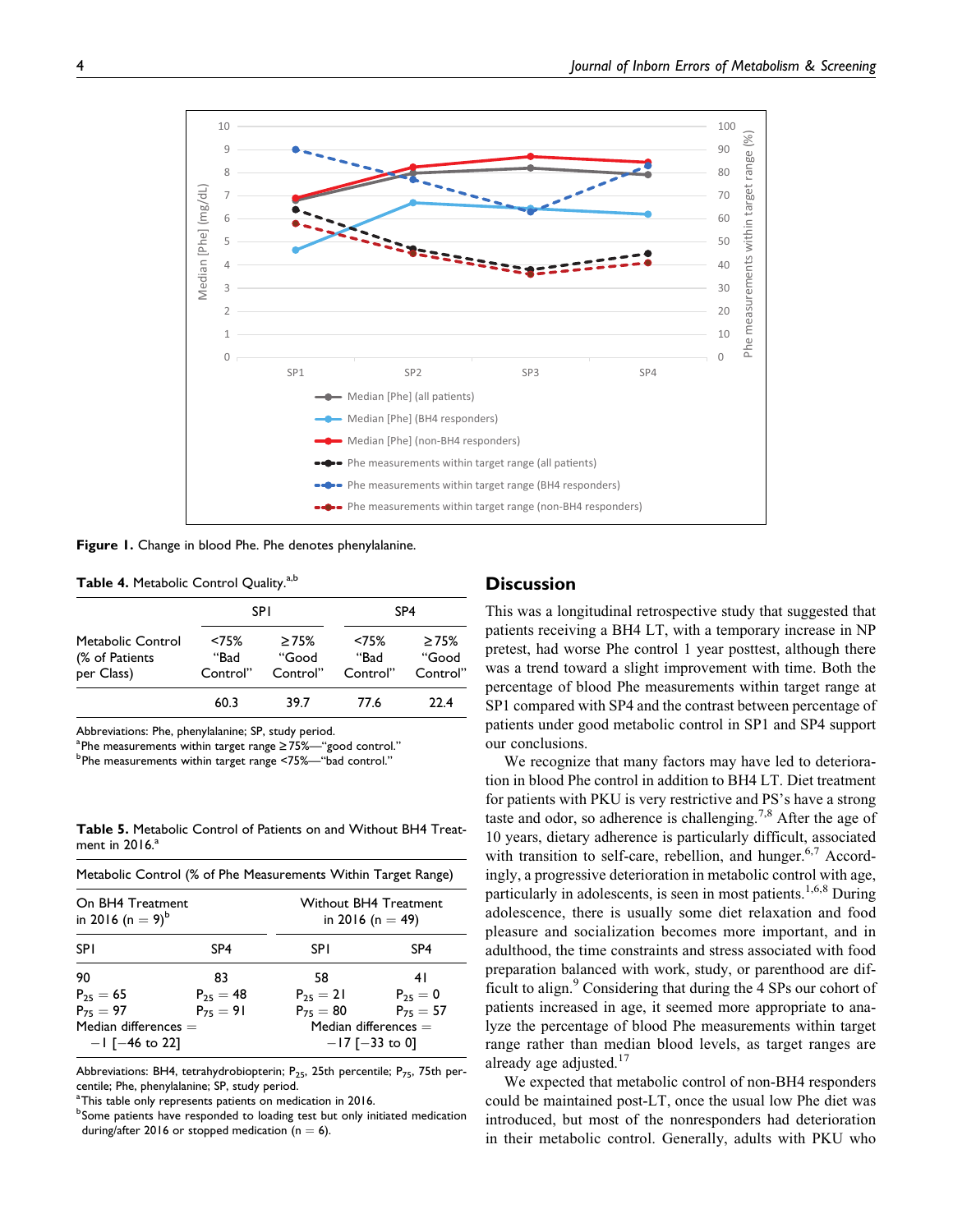

Figure 1. Change in blood Phe. Phe denotes phenylalanine.

| Table 4. Metabolic Control Quality. <sup>a,b</sup> |  |  |
|----------------------------------------------------|--|--|
|----------------------------------------------------|--|--|

|                                                   |                           | <b>SPI</b>                       | SP <sub>4</sub>           |                           |
|---------------------------------------------------|---------------------------|----------------------------------|---------------------------|---------------------------|
| Metabolic Control<br>(% of Patients<br>per Class) | < 75%<br>"Bad<br>Control" | $\geq 75\%$<br>"Good<br>Control" | < 75%<br>"Bad<br>Control" | >75%<br>"Good<br>Control" |
|                                                   | 60.3                      | 39.7                             | 77 6                      | 22 4                      |

Abbreviations: Phe, phenylalanine; SP, study period.

a Phe measurements within target range  $\geq 75\%$ —"good control."<br>b Phe measurements within target range  $\leq 75\%$ —"bad control."

Phe measurements within target range <75%—"bad control."

Table 5. Metabolic Control of Patients on and Without BH4 Treatment in  $2016$ . $a$ 

| Metabolic Control (% of Phe Measurements Within Target Range) |                 |                                                  |                 |  |
|---------------------------------------------------------------|-----------------|--------------------------------------------------|-----------------|--|
| On BH4 Treatment<br>in 2016 (n = $9)^b$                       |                 | <b>Without BH4 Treatment</b><br>in 2016 (n = 49) |                 |  |
| <b>SPI</b>                                                    | SP <sub>4</sub> | <b>SPI</b>                                       | SP <sub>4</sub> |  |
| 90                                                            | 83              | 58                                               | 41              |  |
| $P_{25} = 65$                                                 | $P_{25} = 48$   | $P_{25} = 21$                                    | $P_{25} = 0$    |  |
| $P_{75} = 97$                                                 | $P_{75} = 91$   | $P_{75} = 80$                                    | $P_{75} = 57$   |  |
| Median differences $=$<br>$-1$ [ $-46$ to 22]                 |                 | Median differences $=$<br>$-17$ [ $-33$ to 0]    |                 |  |

Abbreviations: BH4, tetrahydrobiopterin;  $P_{25}$ , 25th percentile;  $P_{75}$ , 75th percentile; Phe, phenylalanine; SP, study period.

<sup>a</sup> This table only represents patients on medication in 2016.

**bSome patients have responded to loading test but only initiated medication** during/after 2016 or stopped medication ( $n = 6$ ).

## **Discussion**

This was a longitudinal retrospective study that suggested that patients receiving a BH4 LT, with a temporary increase in NP pretest, had worse Phe control 1 year posttest, although there was a trend toward a slight improvement with time. Both the percentage of blood Phe measurements within target range at SP1 compared with SP4 and the contrast between percentage of patients under good metabolic control in SP1 and SP4 support our conclusions.

We recognize that many factors may have led to deterioration in blood Phe control in addition to BH4 LT. Diet treatment for patients with PKU is very restrictive and PS's have a strong taste and odor, so adherence is challenging.<sup>7,8</sup> After the age of 10 years, dietary adherence is particularly difficult, associated with transition to self-care, rebellion, and hunger.<sup>6,7</sup> Accordingly, a progressive deterioration in metabolic control with age, particularly in adolescents, is seen in most patients.<sup>1,6,8</sup> During adolescence, there is usually some diet relaxation and food pleasure and socialization becomes more important, and in adulthood, the time constraints and stress associated with food preparation balanced with work, study, or parenthood are difficult to align.<sup>9</sup> Considering that during the 4 SPs our cohort of patients increased in age, it seemed more appropriate to analyze the percentage of blood Phe measurements within target range rather than median blood levels, as target ranges are already age adjusted.<sup>17</sup>

We expected that metabolic control of non-BH4 responders could be maintained post-LT, once the usual low Phe diet was introduced, but most of the nonresponders had deterioration in their metabolic control. Generally, adults with PKU who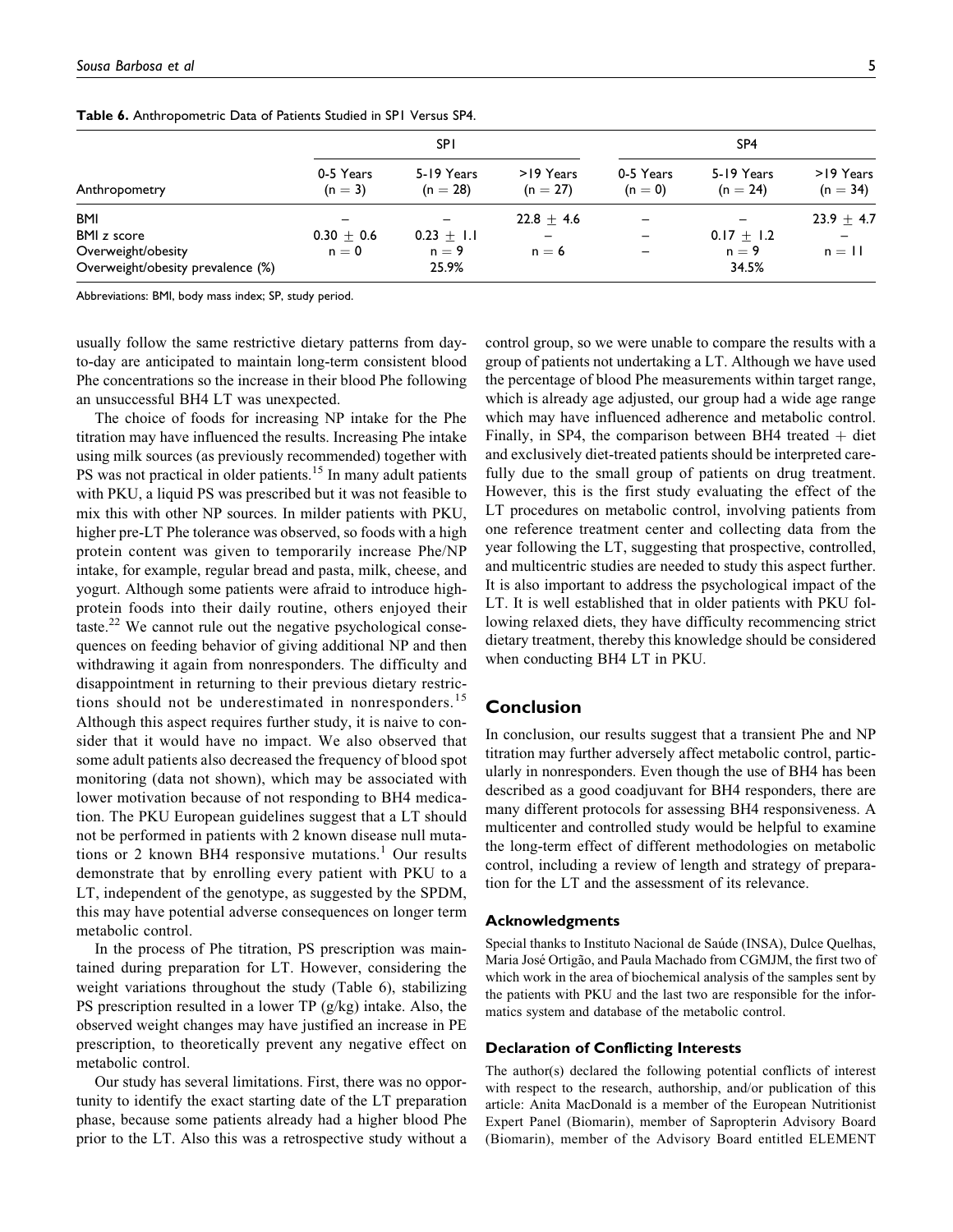|                                   | <b>SPI</b>             |                          |                          | SP <sub>4</sub>      |                          |                         |
|-----------------------------------|------------------------|--------------------------|--------------------------|----------------------|--------------------------|-------------------------|
| Anthropometry                     | 0-5 Years<br>$(n = 3)$ | 5-19 Years<br>$(n = 28)$ | >19 Years<br>$(n = 27)$  | 0-5 Years<br>$(n=0)$ | 5-19 Years<br>$(n = 24)$ | >19 Years<br>$(n = 34)$ |
| <b>BMI</b>                        |                        |                          | $22.8 \pm 4.6$           |                      |                          | $23.9 \pm 4.7$          |
| <b>BMI</b> z score                | $0.30 + 0.6$           | $0.23 \pm 1.1$           | $\overline{\phantom{0}}$ | -                    | $0.17 \pm 1.2$           |                         |
| Overweight/obesity                | $n = 0$                | $n = 9$                  | $n = 6$                  |                      | $n = 9$                  | $n = 11$                |
| Overweight/obesity prevalence (%) |                        | 25.9%                    |                          |                      | 34.5%                    |                         |

Table 6. Anthropometric Data of Patients Studied in SP1 Versus SP4.

Abbreviations: BMI, body mass index; SP, study period.

usually follow the same restrictive dietary patterns from dayto-day are anticipated to maintain long-term consistent blood Phe concentrations so the increase in their blood Phe following an unsuccessful BH4 LT was unexpected.

The choice of foods for increasing NP intake for the Phe titration may have influenced the results. Increasing Phe intake using milk sources (as previously recommended) together with PS was not practical in older patients.<sup>15</sup> In many adult patients with PKU, a liquid PS was prescribed but it was not feasible to mix this with other NP sources. In milder patients with PKU, higher pre-LT Phe tolerance was observed, so foods with a high protein content was given to temporarily increase Phe/NP intake, for example, regular bread and pasta, milk, cheese, and yogurt. Although some patients were afraid to introduce highprotein foods into their daily routine, others enjoyed their taste.<sup>22</sup> We cannot rule out the negative psychological consequences on feeding behavior of giving additional NP and then withdrawing it again from nonresponders. The difficulty and disappointment in returning to their previous dietary restrictions should not be underestimated in nonresponders.<sup>15</sup> Although this aspect requires further study, it is naive to consider that it would have no impact. We also observed that some adult patients also decreased the frequency of blood spot monitoring (data not shown), which may be associated with lower motivation because of not responding to BH4 medication. The PKU European guidelines suggest that a LT should not be performed in patients with 2 known disease null mutations or 2 known BH4 responsive mutations.<sup>1</sup> Our results demonstrate that by enrolling every patient with PKU to a LT, independent of the genotype, as suggested by the SPDM, this may have potential adverse consequences on longer term metabolic control.

In the process of Phe titration, PS prescription was maintained during preparation for LT. However, considering the weight variations throughout the study (Table 6), stabilizing PS prescription resulted in a lower TP (g/kg) intake. Also, the observed weight changes may have justified an increase in PE prescription, to theoretically prevent any negative effect on metabolic control.

Our study has several limitations. First, there was no opportunity to identify the exact starting date of the LT preparation phase, because some patients already had a higher blood Phe prior to the LT. Also this was a retrospective study without a

control group, so we were unable to compare the results with a group of patients not undertaking a LT. Although we have used the percentage of blood Phe measurements within target range, which is already age adjusted, our group had a wide age range which may have influenced adherence and metabolic control. Finally, in SP4, the comparison between BH4 treated  $+$  diet and exclusively diet-treated patients should be interpreted carefully due to the small group of patients on drug treatment. However, this is the first study evaluating the effect of the LT procedures on metabolic control, involving patients from one reference treatment center and collecting data from the year following the LT, suggesting that prospective, controlled, and multicentric studies are needed to study this aspect further. It is also important to address the psychological impact of the LT. It is well established that in older patients with PKU following relaxed diets, they have difficulty recommencing strict dietary treatment, thereby this knowledge should be considered when conducting BH4 LT in PKU.

## Conclusion

In conclusion, our results suggest that a transient Phe and NP titration may further adversely affect metabolic control, particularly in nonresponders. Even though the use of BH4 has been described as a good coadjuvant for BH4 responders, there are many different protocols for assessing BH4 responsiveness. A multicenter and controlled study would be helpful to examine the long-term effect of different methodologies on metabolic control, including a review of length and strategy of preparation for the LT and the assessment of its relevance.

#### Acknowledgments

Special thanks to Instituto Nacional de Saúde (INSA), Dulce Quelhas, Maria José Ortigão, and Paula Machado from CGMJM, the first two of which work in the area of biochemical analysis of the samples sent by the patients with PKU and the last two are responsible for the informatics system and database of the metabolic control.

#### Declaration of Conflicting Interests

The author(s) declared the following potential conflicts of interest with respect to the research, authorship, and/or publication of this article: Anita MacDonald is a member of the European Nutritionist Expert Panel (Biomarin), member of Sapropterin Advisory Board (Biomarin), member of the Advisory Board entitled ELEMENT